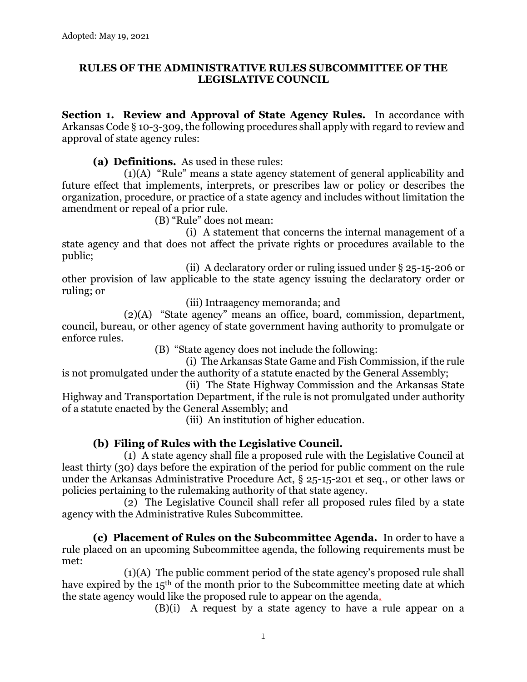#### **RULES OF THE ADMINISTRATIVE RULES SUBCOMMITTEE OF THE LEGISLATIVE COUNCIL**

**Section 1. Review and Approval of State Agency Rules.** In accordance with Arkansas Code § 10-3-309, the following procedures shall apply with regard to review and approval of state agency rules:

**(a) Definitions.** As used in these rules:

(1)(A) "Rule" means a state agency statement of general applicability and future effect that implements, interprets, or prescribes law or policy or describes the organization, procedure, or practice of a state agency and includes without limitation the amendment or repeal of a prior rule.

(B) "Rule" does not mean:

(i) A statement that concerns the internal management of a state agency and that does not affect the private rights or procedures available to the public;

(ii) A declaratory order or ruling issued under § 25-15-206 or other provision of law applicable to the state agency issuing the declaratory order or ruling; or

(iii) Intraagency memoranda; and

(2)(A) "State agency" means an office, board, commission, department, council, bureau, or other agency of state government having authority to promulgate or enforce rules.

(B) "State agency does not include the following:

(i) The Arkansas State Game and Fish Commission, if the rule is not promulgated under the authority of a statute enacted by the General Assembly;

(ii) The State Highway Commission and the Arkansas State Highway and Transportation Department, if the rule is not promulgated under authority of a statute enacted by the General Assembly; and

(iii) An institution of higher education.

### **(b) Filing of Rules with the Legislative Council.**

(1) A state agency shall file a proposed rule with the Legislative Council at least thirty (30) days before the expiration of the period for public comment on the rule under the Arkansas Administrative Procedure Act, § 25-15-201 et seq., or other laws or policies pertaining to the rulemaking authority of that state agency.

(2) The Legislative Council shall refer all proposed rules filed by a state agency with the Administrative Rules Subcommittee.

**(c) Placement of Rules on the Subcommittee Agenda.** In order to have a rule placed on an upcoming Subcommittee agenda, the following requirements must be met:

(1)(A) The public comment period of the state agency's proposed rule shall have expired by the 15<sup>th</sup> of the month prior to the Subcommittee meeting date at which the state agency would like the proposed rule to appear on the agenda.

(B)(i) A request by a state agency to have a rule appear on a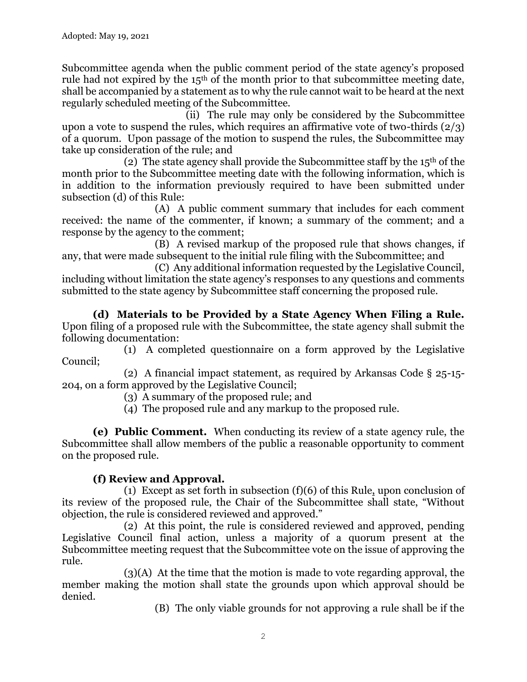Subcommittee agenda when the public comment period of the state agency's proposed rule had not expired by the 15th of the month prior to that subcommittee meeting date, shall be accompanied by a statement as to why the rule cannot wait to be heard at the next regularly scheduled meeting of the Subcommittee.

(ii) The rule may only be considered by the Subcommittee upon a vote to suspend the rules, which requires an affirmative vote of two-thirds  $(2/3)$ of a quorum. Upon passage of the motion to suspend the rules, the Subcommittee may take up consideration of the rule; and

(2) The state agency shall provide the Subcommittee staff by the  $15<sup>th</sup>$  of the month prior to the Subcommittee meeting date with the following information, which is in addition to the information previously required to have been submitted under subsection (d) of this Rule:

(A) A public comment summary that includes for each comment received: the name of the commenter, if known; a summary of the comment; and a response by the agency to the comment;

(B) A revised markup of the proposed rule that shows changes, if any, that were made subsequent to the initial rule filing with the Subcommittee; and

(C) Any additional information requested by the Legislative Council, including without limitation the state agency's responses to any questions and comments submitted to the state agency by Subcommittee staff concerning the proposed rule.

**(d) Materials to be Provided by a State Agency When Filing a Rule.** Upon filing of a proposed rule with the Subcommittee, the state agency shall submit the following documentation:

(1) A completed questionnaire on a form approved by the Legislative Council;

(2) A financial impact statement, as required by Arkansas Code § 25-15- 204, on a form approved by the Legislative Council;

(3) A summary of the proposed rule; and

(4) The proposed rule and any markup to the proposed rule.

**(e) Public Comment.** When conducting its review of a state agency rule, the Subcommittee shall allow members of the public a reasonable opportunity to comment on the proposed rule.

## **(f) Review and Approval.**

(1) Except as set forth in subsection (f)(6) of this Rule, upon conclusion of its review of the proposed rule, the Chair of the Subcommittee shall state, "Without objection, the rule is considered reviewed and approved."

(2) At this point, the rule is considered reviewed and approved, pending Legislative Council final action, unless a majority of a quorum present at the Subcommittee meeting request that the Subcommittee vote on the issue of approving the rule.

(3)(A) At the time that the motion is made to vote regarding approval, the member making the motion shall state the grounds upon which approval should be denied.

(B) The only viable grounds for not approving a rule shall be if the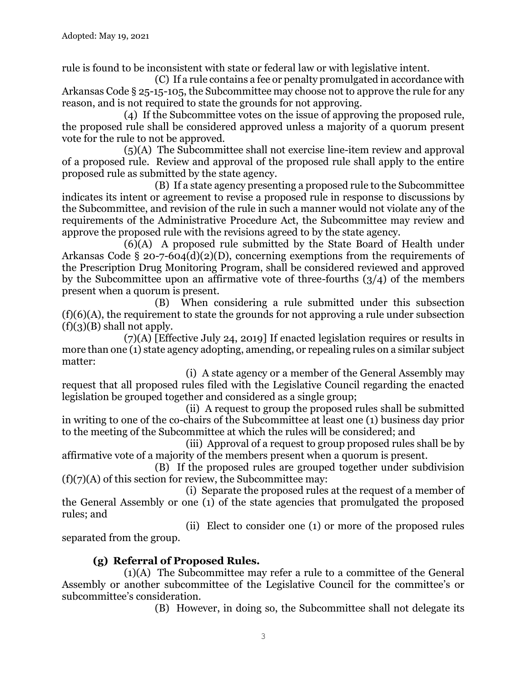rule is found to be inconsistent with state or federal law or with legislative intent.

(C) If a rule contains a fee or penalty promulgated in accordance with Arkansas Code § 25-15-105, the Subcommittee may choose not to approve the rule for any reason, and is not required to state the grounds for not approving.

(4) If the Subcommittee votes on the issue of approving the proposed rule, the proposed rule shall be considered approved unless a majority of a quorum present vote for the rule to not be approved.

(5)(A) The Subcommittee shall not exercise line-item review and approval of a proposed rule. Review and approval of the proposed rule shall apply to the entire proposed rule as submitted by the state agency.

(B) If a state agency presenting a proposed rule to the Subcommittee indicates its intent or agreement to revise a proposed rule in response to discussions by the Subcommittee, and revision of the rule in such a manner would not violate any of the requirements of the Administrative Procedure Act, the Subcommittee may review and approve the proposed rule with the revisions agreed to by the state agency.

(6)(A) A proposed rule submitted by the State Board of Health under Arkansas Code § 20-7-604(d)(2)(D), concerning exemptions from the requirements of the Prescription Drug Monitoring Program, shall be considered reviewed and approved by the Subcommittee upon an affirmative vote of three-fourths  $(3/4)$  of the members present when a quorum is present.

(B) When considering a rule submitted under this subsection (f)(6)(A), the requirement to state the grounds for not approving a rule under subsection  $(f)(3)(B)$  shall not apply.

(7)(A) [Effective July 24, 2019] If enacted legislation requires or results in more than one (1) state agency adopting, amending, or repealing rules on a similar subject matter:

(i) A state agency or a member of the General Assembly may request that all proposed rules filed with the Legislative Council regarding the enacted legislation be grouped together and considered as a single group;

(ii) A request to group the proposed rules shall be submitted in writing to one of the co-chairs of the Subcommittee at least one (1) business day prior to the meeting of the Subcommittee at which the rules will be considered; and

(iii) Approval of a request to group proposed rules shall be by affirmative vote of a majority of the members present when a quorum is present.

(B) If the proposed rules are grouped together under subdivision  $(f)(7)(A)$  of this section for review, the Subcommittee may:

(i) Separate the proposed rules at the request of a member of the General Assembly or one (1) of the state agencies that promulgated the proposed rules; and

(ii) Elect to consider one (1) or more of the proposed rules separated from the group.

# **(g) Referral of Proposed Rules.**

(1)(A) The Subcommittee may refer a rule to a committee of the General Assembly or another subcommittee of the Legislative Council for the committee's or subcommittee's consideration.

(B) However, in doing so, the Subcommittee shall not delegate its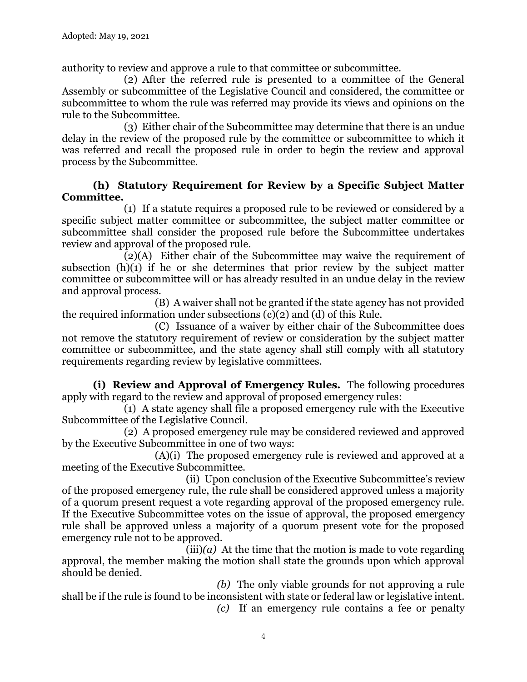authority to review and approve a rule to that committee or subcommittee.

(2) After the referred rule is presented to a committee of the General Assembly or subcommittee of the Legislative Council and considered, the committee or subcommittee to whom the rule was referred may provide its views and opinions on the rule to the Subcommittee.

(3) Either chair of the Subcommittee may determine that there is an undue delay in the review of the proposed rule by the committee or subcommittee to which it was referred and recall the proposed rule in order to begin the review and approval process by the Subcommittee.

#### **(h) Statutory Requirement for Review by a Specific Subject Matter Committee.**

(1) If a statute requires a proposed rule to be reviewed or considered by a specific subject matter committee or subcommittee, the subject matter committee or subcommittee shall consider the proposed rule before the Subcommittee undertakes review and approval of the proposed rule.

(2)(A) Either chair of the Subcommittee may waive the requirement of subsection  $(h)(1)$  if he or she determines that prior review by the subject matter committee or subcommittee will or has already resulted in an undue delay in the review and approval process.

(B) A waiver shall not be granted if the state agency has not provided the required information under subsections (c)(2) and (d) of this Rule.

(C) Issuance of a waiver by either chair of the Subcommittee does not remove the statutory requirement of review or consideration by the subject matter committee or subcommittee, and the state agency shall still comply with all statutory requirements regarding review by legislative committees.

**(i) Review and Approval of Emergency Rules.** The following procedures apply with regard to the review and approval of proposed emergency rules:

(1) A state agency shall file a proposed emergency rule with the Executive Subcommittee of the Legislative Council.

(2) A proposed emergency rule may be considered reviewed and approved by the Executive Subcommittee in one of two ways:

(A)(i) The proposed emergency rule is reviewed and approved at a meeting of the Executive Subcommittee.

(ii) Upon conclusion of the Executive Subcommittee's review of the proposed emergency rule, the rule shall be considered approved unless a majority of a quorum present request a vote regarding approval of the proposed emergency rule. If the Executive Subcommittee votes on the issue of approval, the proposed emergency rule shall be approved unless a majority of a quorum present vote for the proposed emergency rule not to be approved.

 $(iii)(a)$  At the time that the motion is made to vote regarding approval, the member making the motion shall state the grounds upon which approval should be denied.

*(b)* The only viable grounds for not approving a rule shall be if the rule is found to be inconsistent with state or federal law or legislative intent. *(c)* If an emergency rule contains a fee or penalty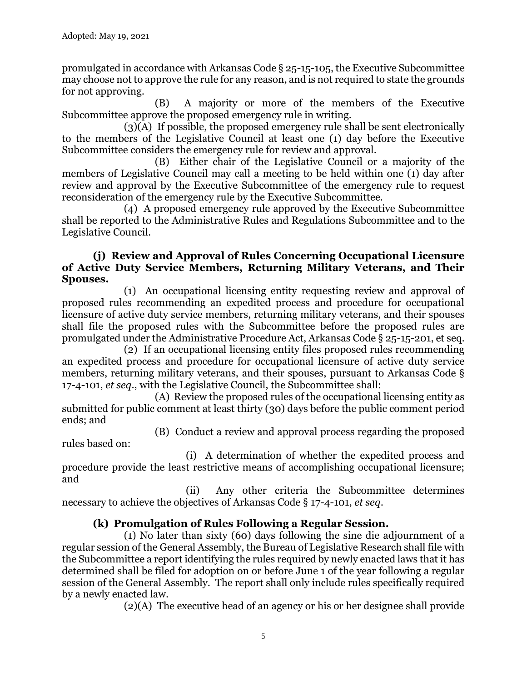promulgated in accordance with Arkansas Code § 25-15-105, the Executive Subcommittee may choose not to approve the rule for any reason, and is not required to state the grounds for not approving.

(B) A majority or more of the members of the Executive Subcommittee approve the proposed emergency rule in writing.

(3)(A) If possible, the proposed emergency rule shall be sent electronically to the members of the Legislative Council at least one (1) day before the Executive Subcommittee considers the emergency rule for review and approval.

(B) Either chair of the Legislative Council or a majority of the members of Legislative Council may call a meeting to be held within one (1) day after review and approval by the Executive Subcommittee of the emergency rule to request reconsideration of the emergency rule by the Executive Subcommittee.

(4) A proposed emergency rule approved by the Executive Subcommittee shall be reported to the Administrative Rules and Regulations Subcommittee and to the Legislative Council.

#### **(j) Review and Approval of Rules Concerning Occupational Licensure of Active Duty Service Members, Returning Military Veterans, and Their Spouses.**

(1) An occupational licensing entity requesting review and approval of proposed rules recommending an expedited process and procedure for occupational licensure of active duty service members, returning military veterans, and their spouses shall file the proposed rules with the Subcommittee before the proposed rules are promulgated under the Administrative Procedure Act, Arkansas Code § 25-15-201, et seq.

(2) If an occupational licensing entity files proposed rules recommending an expedited process and procedure for occupational licensure of active duty service members, returning military veterans, and their spouses, pursuant to Arkansas Code § 17-4-101, *et seq*., with the Legislative Council, the Subcommittee shall:

(A) Review the proposed rules of the occupational licensing entity as submitted for public comment at least thirty (30) days before the public comment period ends; and

(B) Conduct a review and approval process regarding the proposed

rules based on:

(i) A determination of whether the expedited process and procedure provide the least restrictive means of accomplishing occupational licensure; and

(ii) Any other criteria the Subcommittee determines necessary to achieve the objectives of Arkansas Code § 17-4-101, *et seq*.

## **(k) Promulgation of Rules Following a Regular Session.**

(1) No later than sixty (60) days following the sine die adjournment of a regular session of the General Assembly, the Bureau of Legislative Research shall file with the Subcommittee a report identifying the rules required by newly enacted laws that it has determined shall be filed for adoption on or before June 1 of the year following a regular session of the General Assembly. The report shall only include rules specifically required by a newly enacted law.

(2)(A) The executive head of an agency or his or her designee shall provide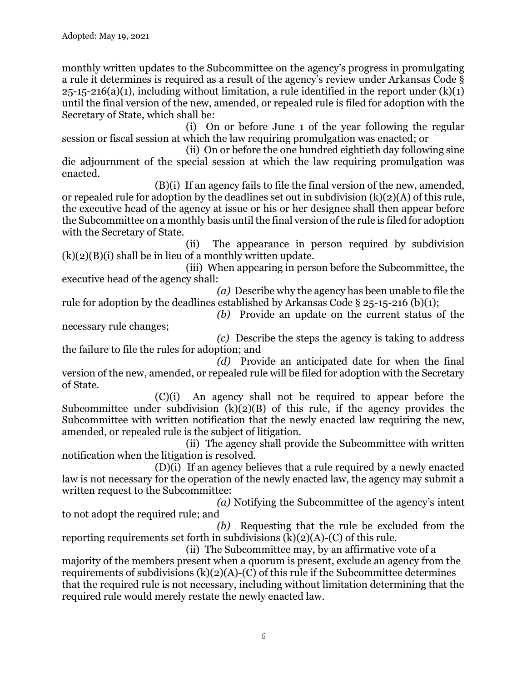monthly written updates to the Subcommittee on the agency's progress in promulgating a rule it determines is required as a result of the agency's review under Arkansas Code §  $25-15-216(a)(1)$ , including without limitation, a rule identified in the report under  $(k)(1)$ until the final version of the new, amended, or repealed rule is filed for adoption with the Secretary of State, which shall be:

(i) On or before June 1 of the year following the regular session or fiscal session at which the law requiring promulgation was enacted; or

(ii) On or before the one hundred eightieth day following sine die adjournment of the special session at which the law requiring promulgation was enacted.

(B)(i) If an agency fails to file the final version of the new, amended, or repealed rule for adoption by the deadlines set out in subdivision  $(k)(2)(A)$  of this rule, the executive head of the agency at issue or his or her designee shall then appear before the Subcommittee on a monthly basis until the final version of the rule is filed for adoption with the Secretary of State.

(ii) The appearance in person required by subdivision  $(k)(2)(B)(i)$  shall be in lieu of a monthly written update.

(iii) When appearing in person before the Subcommittee, the executive head of the agency shall:

*(a)* Describe why the agency has been unable to file the rule for adoption by the deadlines established by Arkansas Code § 25-15-216 (b)(1);

*(b)* Provide an update on the current status of the

necessary rule changes; *(c)* Describe the steps the agency is taking to address

the failure to file the rules for adoption; and *(d)* Provide an anticipated date for when the final

version of the new, amended, or repealed rule will be filed for adoption with the Secretary of State.

(C)(i) An agency shall not be required to appear before the Subcommittee under subdivision  $(k)(2)(B)$  of this rule, if the agency provides the Subcommittee with written notification that the newly enacted law requiring the new, amended, or repealed rule is the subject of litigation.

(ii) The agency shall provide the Subcommittee with written notification when the litigation is resolved.

(D)(i) If an agency believes that a rule required by a newly enacted law is not necessary for the operation of the newly enacted law, the agency may submit a written request to the Subcommittee:

*(a)* Notifying the Subcommittee of the agency's intent to not adopt the required rule; and

*(b)* Requesting that the rule be excluded from the reporting requirements set forth in subdivisions  $(k)(2)(A)-(C)$  of this rule.

(ii) The Subcommittee may, by an affirmative vote of a majority of the members present when a quorum is present, exclude an agency from the requirements of subdivisions  $(k)(2)(A)-(C)$  of this rule if the Subcommittee determines that the required rule is not necessary, including without limitation determining that the required rule would merely restate the newly enacted law.